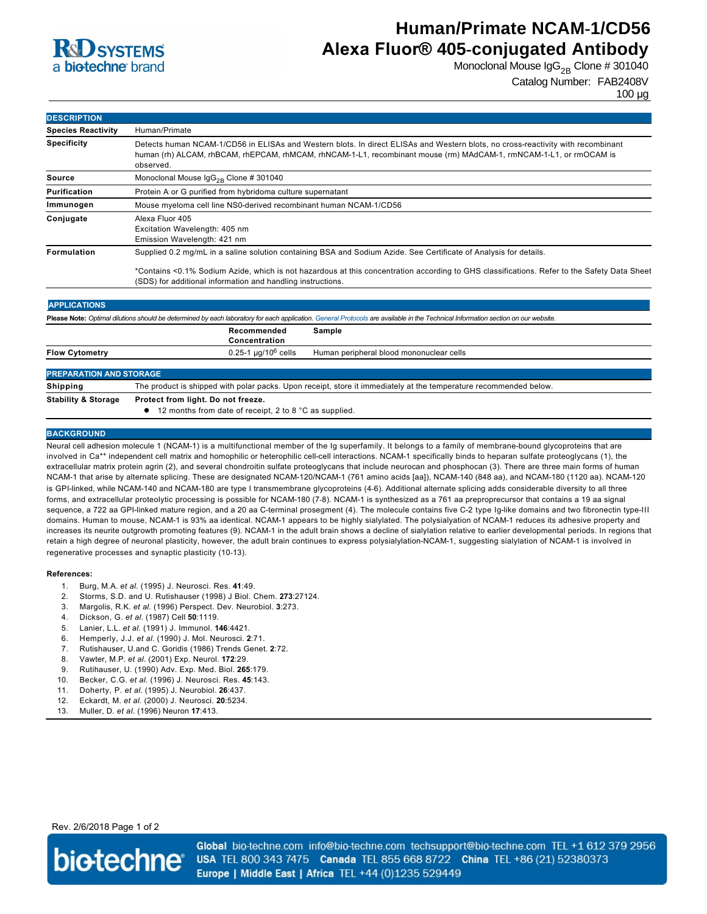

# **Human/Primate NCAM-1/CD56 Alexa Fluor® 405-conjugated Antibody**

Monoclonal Mouse  $\lg G_{2B}$  Clone # 301040

Catalog Number: FAB2408V

100 µg

| <b>DESCRIPTION</b>        |                                                                                                                                                                                                                                                                    |  |  |
|---------------------------|--------------------------------------------------------------------------------------------------------------------------------------------------------------------------------------------------------------------------------------------------------------------|--|--|
| <b>Species Reactivity</b> | Human/Primate                                                                                                                                                                                                                                                      |  |  |
| <b>Specificity</b>        | Detects human NCAM-1/CD56 in ELISAs and Western blots. In direct ELISAs and Western blots, no cross-reactivity with recombinant<br>human (rh) ALCAM, rhBCAM, rhEPCAM, rhMCAM, rhNCAM-1-L1, recombinant mouse (rm) MAdCAM-1, rmNCAM-1-L1, or rmOCAM is<br>observed. |  |  |
| Source                    | Monoclonal Mouse $\lg G_{2R}$ Clone # 301040                                                                                                                                                                                                                       |  |  |
| <b>Purification</b>       | Protein A or G purified from hybridoma culture supernatant                                                                                                                                                                                                         |  |  |
| Immunogen                 | Mouse myeloma cell line NS0-derived recombinant human NCAM-1/CD56                                                                                                                                                                                                  |  |  |
| Conjugate                 | Alexa Fluor 405<br>Excitation Wavelength: 405 nm<br>Emission Wavelength: 421 nm                                                                                                                                                                                    |  |  |
| <b>Formulation</b>        | Supplied 0.2 mg/mL in a saline solution containing BSA and Sodium Azide. See Certificate of Analysis for details.                                                                                                                                                  |  |  |
|                           | *Contains <0.1% Sodium Azide, which is not hazardous at this concentration according to GHS classifications. Refer to the Safety Data Sheet<br>(SDS) for additional information and handling instructions.                                                         |  |  |

| <b>APPLICATIONS</b>                                                                                                                                                               |                                                                                                                   |                                          |  |
|-----------------------------------------------------------------------------------------------------------------------------------------------------------------------------------|-------------------------------------------------------------------------------------------------------------------|------------------------------------------|--|
| Please Note: Optimal dilutions should be determined by each laboratory for each application. General Protocols are available in the Technical Information section on our website. |                                                                                                                   |                                          |  |
|                                                                                                                                                                                   | Recommended<br>Concentration                                                                                      | Sample                                   |  |
| <b>Flow Cytometry</b>                                                                                                                                                             | $0.25$ -1 µg/10 $^6$ cells                                                                                        | Human peripheral blood mononuclear cells |  |
| <b>PREPARATION AND STORAGE</b>                                                                                                                                                    |                                                                                                                   |                                          |  |
| <b>Shipping</b>                                                                                                                                                                   | The product is shipped with polar packs. Upon receipt, store it immediately at the temperature recommended below. |                                          |  |
| _ _ _ _ _ _ _ _                                                                                                                                                                   |                                                                                                                   |                                          |  |

**Stability & Storage Protect from light. Do not freeze.**

● 12 months from date of receipt, 2 to 8 °C as supplied.

#### **BACKGROUND**

Neural cell adhesion molecule 1 (NCAM-1) is a multifunctional member of the Ig superfamily. It belongs to a family of membrane-bound glycoproteins that are involved in Ca<sup>++</sup> independent cell matrix and homophilic or heterophilic cell-cell interactions. NCAM-1 specifically binds to heparan sulfate proteoglycans (1), the extracellular matrix protein agrin (2), and several chondroitin sulfate proteoglycans that include neurocan and phosphocan (3). There are three main forms of human NCAM-1 that arise by alternate splicing. These are designated NCAM-120/NCAM-1 (761 amino acids [aa]), NCAM-140 (848 aa), and NCAM-180 (1120 aa). NCAM-120 is GPIlinked, while NCAM140 and NCAM180 are type I transmembrane glycoproteins (46). Additional alternate splicing adds considerable diversity to all three forms, and extracellular proteolytic processing is possible for NCAM-180 (7-8). NCAM-1 is synthesized as a 761 aa preproprecursor that contains a 19 aa signal sequence, a 722 aa GPI-linked mature region, and a 20 aa C-terminal prosegment (4). The molecule contains five C-2 type Ig-like domains and two fibronectin type-III domains. Human to mouse, NCAM-1 is 93% aa identical. NCAM-1 appears to be highly sialylated. The polysialyation of NCAM-1 reduces its adhesive property and increases its neurite outgrowth promoting features (9). NCAM-1 in the adult brain shows a decline of sialylation relative to earlier developmental periods. In regions that retain a high degree of neuronal plasticity, however, the adult brain continues to express polysialylation-NCAM-1, suggesting sialylation of NCAM-1 is involved in regenerative processes and synaptic plasticity (10-13).

#### **References:**

- 1. Burg, M.A. *et al*. (1995) J. Neurosci. Res. **41**:49.
- 2. Storms, S.D. and U. Rutishauser (1998) J Biol. Chem. **273**:27124.
- 3. Margolis, R.K. *et al*. (1996) Perspect. Dev. Neurobiol. **3**:273.
- 4. Dickson, G. *et al*. (1987) Cell **50**:1119.
- 5. Lanier, L.L. *et al*. (1991) J. Immunol. **146**:4421.
- 6. Hemperly, J.J. *et al*. (1990) J. Mol. Neurosci. **2**:71.
- 7. Rutishauser, U.and C. Goridis (1986) Trends Genet. **2**:72.
- 8. Vawter, M.P. *et al*. (2001) Exp. Neurol. **172**:29.
- 9. Rutihauser, U. (1990) Adv. Exp. Med. Biol. **265**:179.
- 10. Becker, C.G. *et al*. (1996) J. Neurosci. Res. **45**:143.
- 11. Doherty, P. *et al*. (1995) J. Neurobiol. **26**:437.
- 12. Eckardt, M. *et al*. (2000) J. Neurosci. **20**:5234.
- 13. Muller, D. *et al.* (1996) Neuron **17**:413.

Rev. 2/6/2018 Page 1 of 2



Global bio-techne.com info@bio-techne.com techsupport@bio-techne.com TEL +1 612 379 2956 USA TEL 800 343 7475 Canada TEL 855 668 8722 China TEL +86 (21) 52380373 Europe | Middle East | Africa TEL +44 (0)1235 529449